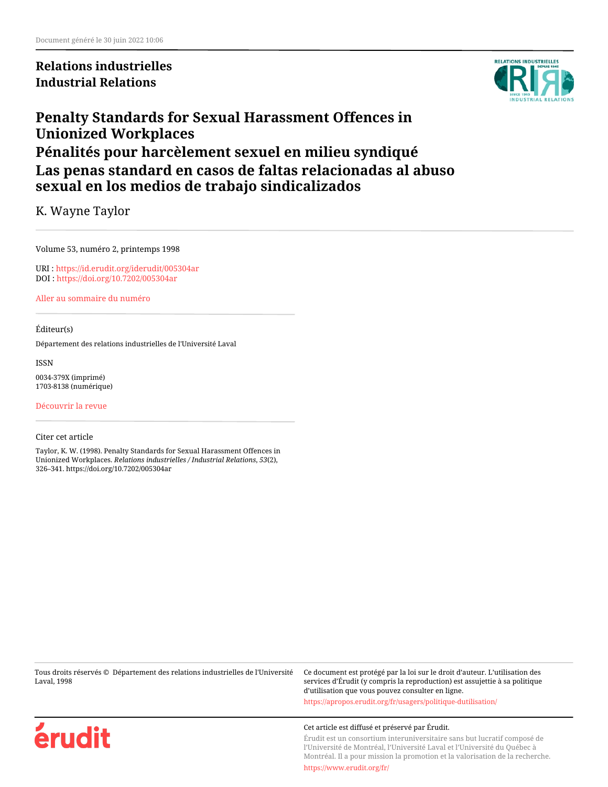**Relations industrielles Industrial Relations**



# **Penalty Standards for Sexual Harassment Offences in Unionized Workplaces Pénalités pour harcèlement sexuel en milieu syndiqué Las penas standard en casos de faltas relacionadas al abuso sexual en los medios de trabajo sindicalizados**

K. Wayne Taylor

Volume 53, numéro 2, printemps 1998

URI :<https://id.erudit.org/iderudit/005304ar> DOI :<https://doi.org/10.7202/005304ar>

[Aller au sommaire du numéro](https://www.erudit.org/fr/revues/ri/1998-v53-n2-ri207/)

#### Éditeur(s)

Département des relations industrielles de l'Université Laval

ISSN

0034-379X (imprimé) 1703-8138 (numérique)

[Découvrir la revue](https://www.erudit.org/fr/revues/ri/)

#### Citer cet article

Taylor, K. W. (1998). Penalty Standards for Sexual Harassment Offences in Unionized Workplaces. *Relations industrielles / Industrial Relations*, *53*(2), 326–341. https://doi.org/10.7202/005304ar

Tous droits réservés © Département des relations industrielles de l'Université Laval, 1998

Ce document est protégé par la loi sur le droit d'auteur. L'utilisation des services d'Érudit (y compris la reproduction) est assujettie à sa politique d'utilisation que vous pouvez consulter en ligne.

<https://apropos.erudit.org/fr/usagers/politique-dutilisation/>



#### Cet article est diffusé et préservé par Érudit.

Érudit est un consortium interuniversitaire sans but lucratif composé de l'Université de Montréal, l'Université Laval et l'Université du Québec à Montréal. Il a pour mission la promotion et la valorisation de la recherche.

<https://www.erudit.org/fr/>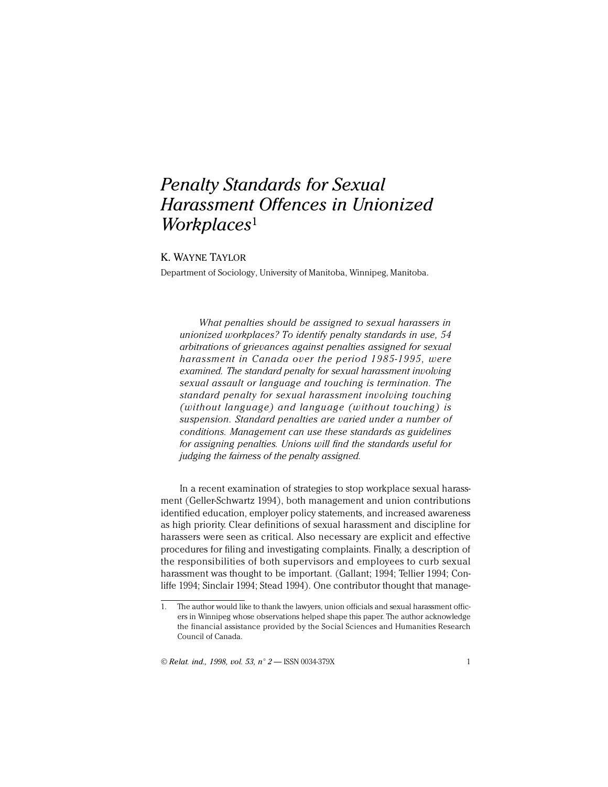# *Penalty Standards for Sexual Harassment Offences in Unionized Workplaces*<sup>1</sup>

# K. WAYNE TAYLOR

Department of Sociology, University of Manitoba, Winnipeg, Manitoba.

*What penalties should be assigned to sexual harassers in unionized workplaces? To identify penalty standards in use, 54 arbitrations of grievances against penalties assigned for sexual harassment in Canada over the period 1985-1995, were examined. The standard penalty for sexual harassment involving sexual assault or language and touching is termination. The standard penalty for sexual harassment involving touching (without language) and language (without touching) is suspension. Standard penalties are varied under a number of conditions. Management can use these standards as guidelines for assigning penalties. Unions will find the standards useful for judging the fairness of the penalty assigned.*

In a recent examination of strategies to stop workplace sexual harassment (Geller-Schwartz 1994), both management and union contributions identified education, employer policy statements, and increased awareness as high priority. Clear definitions of sexual harassment and discipline for harassers were seen as critical. Also necessary are explicit and effective procedures for filing and investigating complaints. Finally, a description of the responsibilities of both supervisors and employees to curb sexual harassment was thought to be important. (Gallant; 1994; Tellier 1994; Conliffe 1994; Sinclair 1994; Stead 1994). One contributor thought that manage-

© *Relat. ind., 1998, vol. 53, n° 2* — ISSN 0034-379X 1

<sup>1.</sup> The author would like to thank the lawyers, union officials and sexual harassment officers in Winnipeg whose observations helped shape this paper. The author acknowledge the financial assistance provided by the Social Sciences and Humanities Research Council of Canada.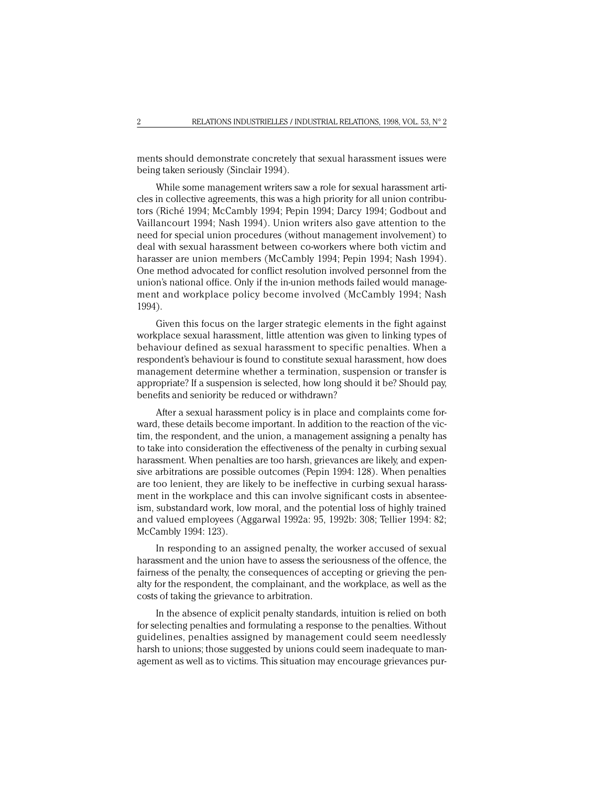ments should demonstrate concretely that sexual harassment issues were being taken seriously (Sinclair 1994).

While some management writers saw a role for sexual harassment articles in collective agreements, this was a high priority for all union contributors (Riché 1994; McCambly 1994; Pepin 1994; Darcy 1994; Godbout and Vaillancourt 1994; Nash 1994). Union writers also gave attention to the need for special union procedures (without management involvement) to deal with sexual harassment between co-workers where both victim and harasser are union members (McCambly 1994; Pepin 1994; Nash 1994). One method advocated for conflict resolution involved personnel from the union's national office. Only if the in-union methods failed would management and workplace policy become involved (McCambly 1994; Nash 1994).

Given this focus on the larger strategic elements in the fight against workplace sexual harassment, little attention was given to linking types of behaviour defined as sexual harassment to specific penalties. When a respondent's behaviour is found to constitute sexual harassment, how does management determine whether a termination, suspension or transfer is appropriate? If a suspension is selected, how long should it be? Should pay, benefits and seniority be reduced or withdrawn?

After a sexual harassment policy is in place and complaints come forward, these details become important. In addition to the reaction of the victim, the respondent, and the union, a management assigning a penalty has to take into consideration the effectiveness of the penalty in curbing sexual harassment. When penalties are too harsh, grievances are likely, and expensive arbitrations are possible outcomes (Pepin 1994: 128). When penalties are too lenient, they are likely to be ineffective in curbing sexual harassment in the workplace and this can involve significant costs in absenteeism, substandard work, low moral, and the potential loss of highly trained and valued employees (Aggarwal 1992a: 95, 1992b: 308; Tellier 1994: 82; McCambly 1994: 123).

In responding to an assigned penalty, the worker accused of sexual harassment and the union have to assess the seriousness of the offence, the fairness of the penalty, the consequences of accepting or grieving the penalty for the respondent, the complainant, and the workplace, as well as the costs of taking the grievance to arbitration.

In the absence of explicit penalty standards, intuition is relied on both for selecting penalties and formulating a response to the penalties. Without guidelines, penalties assigned by management could seem needlessly harsh to unions; those suggested by unions could seem inadequate to management as well as to victims. This situation may encourage grievances pur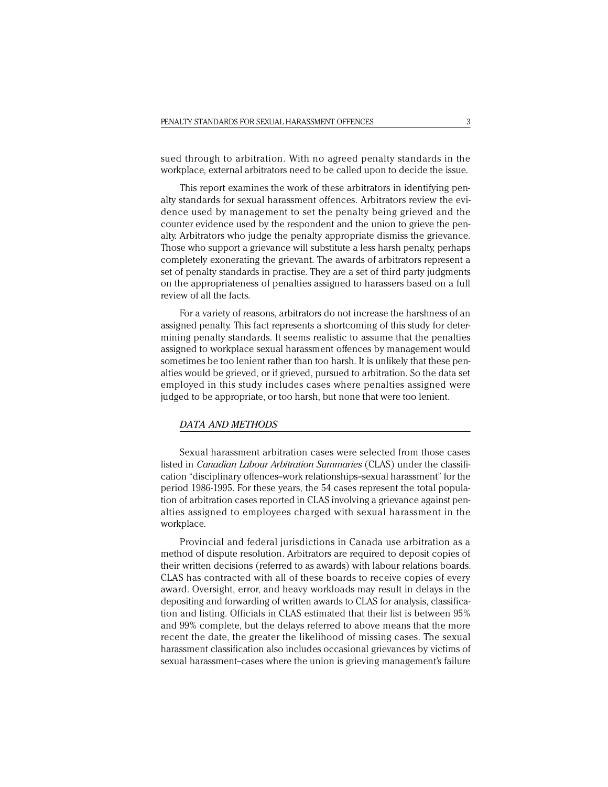sued through to arbitration. With no agreed penalty standards in the workplace, external arbitrators need to be called upon to decide the issue.

This report examines the work of these arbitrators in identifying penalty standards for sexual harassment offences. Arbitrators review the evidence used by management to set the penalty being grieved and the counter evidence used by the respondent and the union to grieve the penalty. Arbitrators who judge the penalty appropriate dismiss the grievance. Those who support a grievance will substitute a less harsh penalty, perhaps completely exonerating the grievant. The awards of arbitrators represent a set of penalty standards in practise. They are a set of third party judgments on the appropriateness of penalties assigned to harassers based on a full review of all the facts.

For a variety of reasons, arbitrators do not increase the harshness of an assigned penalty. This fact represents a shortcoming of this study for determining penalty standards. It seems realistic to assume that the penalties assigned to workplace sexual harassment offences by management would sometimes be too lenient rather than too harsh. It is unlikely that these penalties would be grieved, or if grieved, pursued to arbitration. So the data set employed in this study includes cases where penalties assigned were judged to be appropriate, or too harsh, but none that were too lenient.

## *DATA AND METHODS*

Sexual harassment arbitration cases were selected from those cases listed in *Canadian Labour Arbitration Summaries* (CLAS) under the classification "disciplinary offences--work relationships--sexual harassment" for the period 1986-1995. For these years, the 54 cases represent the total population of arbitration cases reported in CLAS involving a grievance against penalties assigned to employees charged with sexual harassment in the workplace.

Provincial and federal jurisdictions in Canada use arbitration as a method of dispute resolution. Arbitrators are required to deposit copies of their written decisions (referred to as awards) with labour relations boards. CLAS has contracted with all of these boards to receive copies of every award. Oversight, error, and heavy workloads may result in delays in the depositing and forwarding of written awards to CLAS for analysis, classification and listing. Officials in CLAS estimated that their list is between 95% and 99% complete, but the delays referred to above means that the more recent the date, the greater the likelihood of missing cases. The sexual harassment classification also includes occasional grievances by victims of sexual harassment-cases where the union is grieving management's failure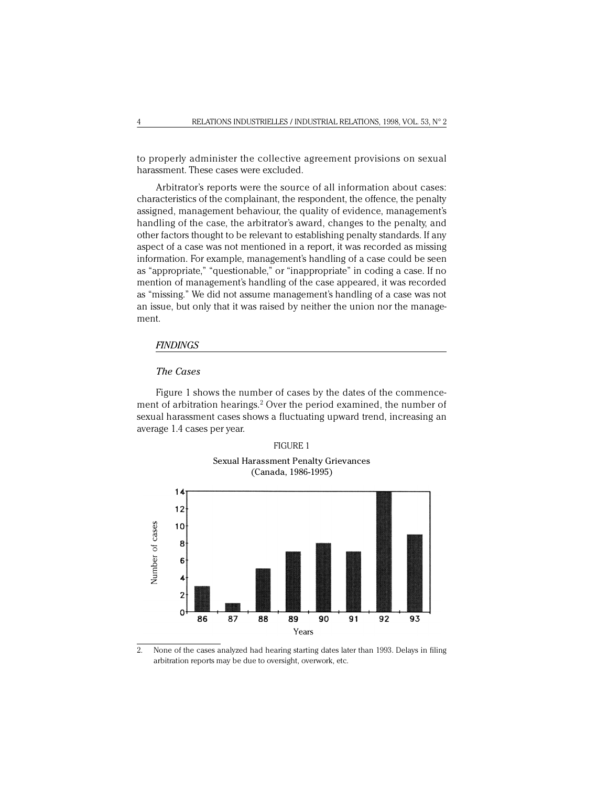to properly administer the collective agreement provisions on sexual harassment. These cases were excluded.

Arbitrator's reports were the source of all information about cases: characteristics of the complainant, the respondent, the offence, the penalty assigned, management behaviour, the quality of evidence, management's handling of the case, the arbitrator's award, changes to the penalty, and other factors thought to be relevant to establishing penalty standards. If any aspect of a case was not mentioned in a report, it was recorded as missing information. For example, management's handling of a case could be seen as "appropriate," "questionable," or "inappropriate" in coding a case. If no mention of management's handling of the case appeared, it was recorded as "missing." We did not assume management's handling of a case was not an issue, but only that it was raised by neither the union nor the management.

## *FINDINGS*

## *The Cases*

Figure 1 shows the number of cases by the dates of the commencement of arbitration hearings.2 Over the period examined, the number of sexual harassment cases shows a fluctuating upward trend, increasing an average 1.4 cases per year.





2. None of the cases analyzed had hearing starting dates later than 1993. Delays in filing arbitration reports may be due to oversight, overwork, etc.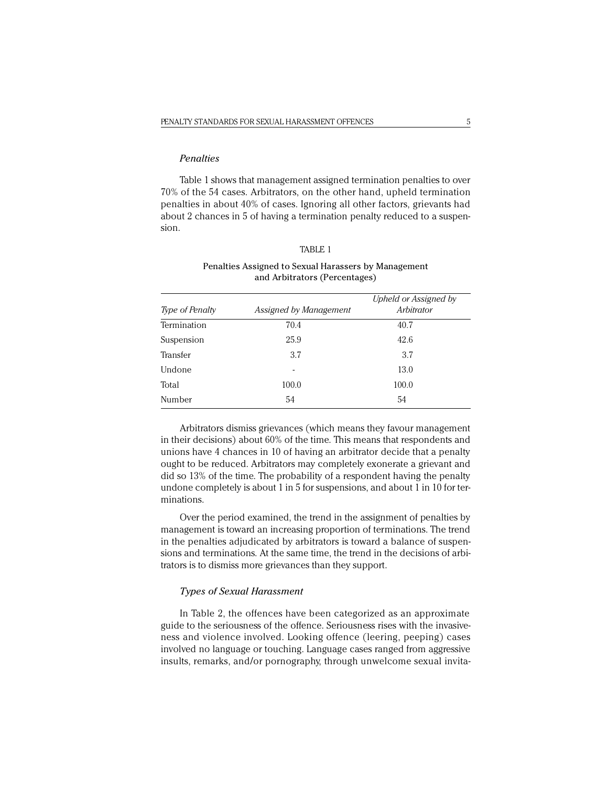## *Penalties*

Table 1 shows that management assigned termination penalties to over 70% of the 54 cases. Arbitrators, on the other hand, upheld termination penalties in about 40% of cases. Ignoring all other factors, grievants had about 2 chances in 5 of having a termination penalty reduced to a suspension.

## TABLE 1

## Penalties Assigned to Sexual Harassers by Management and Arbitrators (Percentages)

| <i>Type of Penalty</i> | Assigned by Management | Upheld or Assigned by<br>Arbitrator |
|------------------------|------------------------|-------------------------------------|
| Termination            | 70.4                   | 40.7                                |
| Suspension             | 25.9                   | 42.6                                |
| Transfer               | 3.7                    | 3.7                                 |
| Undone                 | ۰                      | 13.0                                |
| Total                  | 100.0                  | 100.0                               |
| Number                 | 54                     | 54                                  |

Arbitrators dismiss grievances (which means they favour management in their decisions) about 60% of the time. This means that respondents and unions have 4 chances in 10 of having an arbitrator decide that a penalty ought to be reduced. Arbitrators may completely exonerate a grievant and did so 13% of the time. The probability of a respondent having the penalty undone completely is about 1 in 5 for suspensions, and about 1 in 10 for terminations.

Over the period examined, the trend in the assignment of penalties by management is toward an increasing proportion of terminations. The trend in the penalties adjudicated by arbitrators is toward a balance of suspensions and terminations. At the same time, the trend in the decisions of arbitrators is to dismiss more grievances than they support.

#### *Types of Sexual Harassment*

In Table 2, the offences have been categorized as an approximate guide to the seriousness of the offence. Seriousness rises with the invasiveness and violence involved. Looking offence (leering, peeping) cases involved no language or touching. Language cases ranged from aggressive insults, remarks, and/or pornography, through unwelcome sexual invita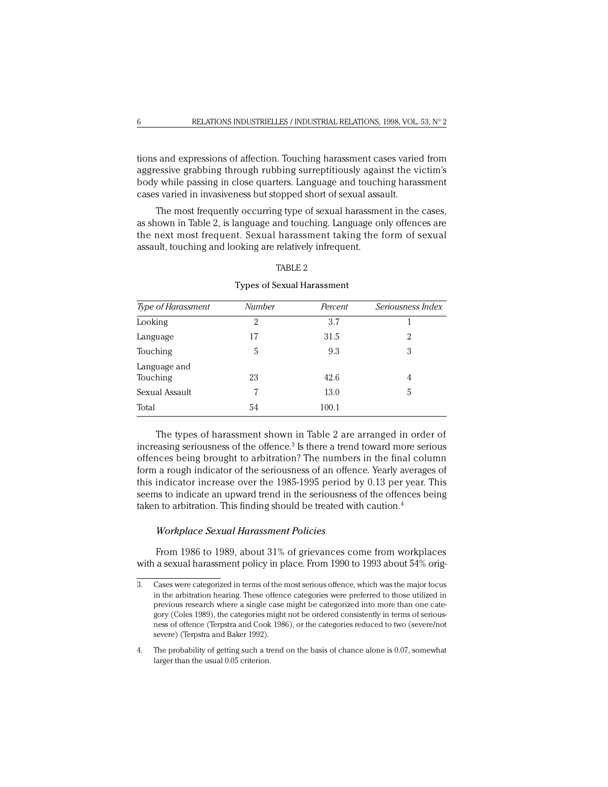tions and expressions of affection. Touching harassment cases varied from aggressive grabbing through rubbing surreptitiously against the victim's body while passing in close quarters. Language and touching harassment cases varied in invasiveness but stopped short of sexual assault.

The most frequently occurring type of sexual harassment in the cases, as shown in Table 2, is language and touching. Language only offences are the next most frequent. Sexual harassment taking the form of sexual assault, touching and looking are relatively infrequent.

| <b>Type of Harassment</b> | Number | Percent | Seriousness Index |
|---------------------------|--------|---------|-------------------|
| Looking                   | 2      | 3.7     |                   |
| Language                  | 17     | 31.5    | 2                 |
| Touching                  | 5      | 9.3     | 3                 |
| Language and<br>Touching  | 23     | 42.6    | 4                 |
| Sexual Assault            |        | 13.0    | 5                 |
| Total                     | 54     | 100.1   |                   |

#### TABLE 2

Types of Sexual Harassment

The types of harassment shown in Table 2 are arranged in order of increasing seriousness of the offence. $3$  Is there a trend toward more serious offences being brought to arbitration? The numbers in the final column form a rough indicator of the seriousness of an offence. Yearly averages of this indicator increase over the 1985-1995 period by 0.13 per year. This seems to indicate an upward trend in the seriousness of the offences being taken to arbitration. This finding should be treated with caution.4

## *Workplace Sexual Harassment Policies*

From 1986 to 1989, about 31% of grievances come from workplaces with a sexual harassment policy in place. From 1990 to 1993 about 54% orig-

<sup>3.</sup> Cases were categorized in terms of the most serious offence, which was the major focus in the arbitration hearing. These offence categories were preferred to those utilized in previous research where a single case might be categorized into more than one category (Coles 1989), the categories might not be ordered consistently in terms of seriousness of offence (Terpstra and Cook 1986), or the categories reduced to two (severe/not severe) (Terpstra and Baker 1992).

<sup>4.</sup> The probability of getting such a trend on the basis of chance alone is 0.07, somewhat larger than the usual 0.05 criterion.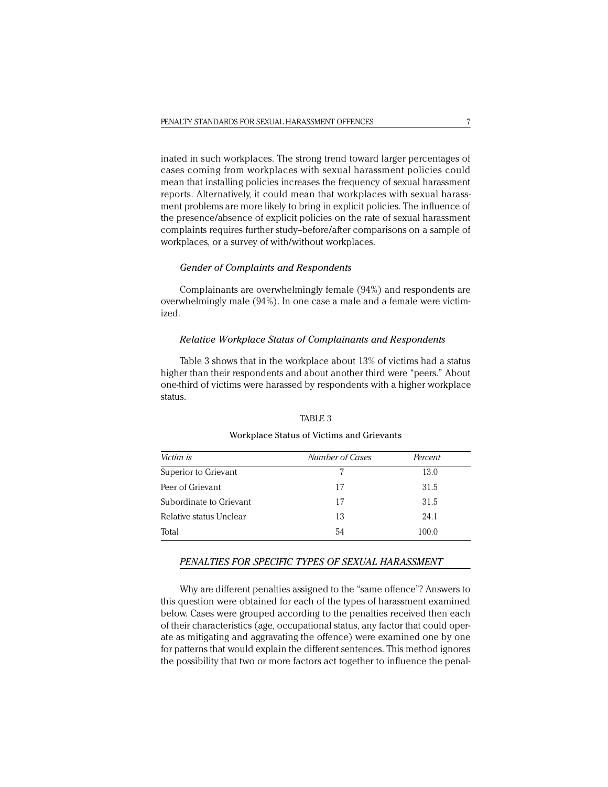inated in such workplaces. The strong trend toward larger percentages of cases coming from workplaces with sexual harassment policies could mean that installing policies increases the frequency of sexual harassment reports. Alternatively, it could mean that workplaces with sexual harassment problems are more likely to bring in explicit policies. The influence of the presence/absence of explicit policies on the rate of sexual harassment complaints requires further study--before/after comparisons on a sample of workplaces, or a survey of with/without workplaces.

## *Gender of Complaints and Respondents*

Complainants are overwhelmingly female (94%) and respondents are overwhelmingly male (94%). In one case a male and a female were victimized.

## *Relative Workplace Status of Complainants and Respondents*

Table 3 shows that in the workplace about 13% of victims had a status higher than their respondents and about another third were "peers." About one-third of victims were harassed by respondents with a higher workplace status.

#### TABLE 3

#### Workplace Status of Victims and Grievants

| Victim is               | Number of Cases | Percent |
|-------------------------|-----------------|---------|
| Superior to Grievant    | 7               | 13.0    |
| Peer of Grievant        | 17              | 31.5    |
| Subordinate to Grievant | 17              | 31.5    |
| Relative status Unclear | 13              | 24.1    |
| Total                   | 54              | 100.0   |

#### *PENALTIES FOR SPECIFIC TYPES OF SEXUAL HARASSMENT*

Why are different penalties assigned to the "same offence"? Answers to this question were obtained for each of the types of harassment examined below. Cases were grouped according to the penalties received then each of their characteristics (age, occupational status, any factor that could operate as mitigating and aggravating the offence) were examined one by one for patterns that would explain the different sentences. This method ignores the possibility that two or more factors act together to influence the penal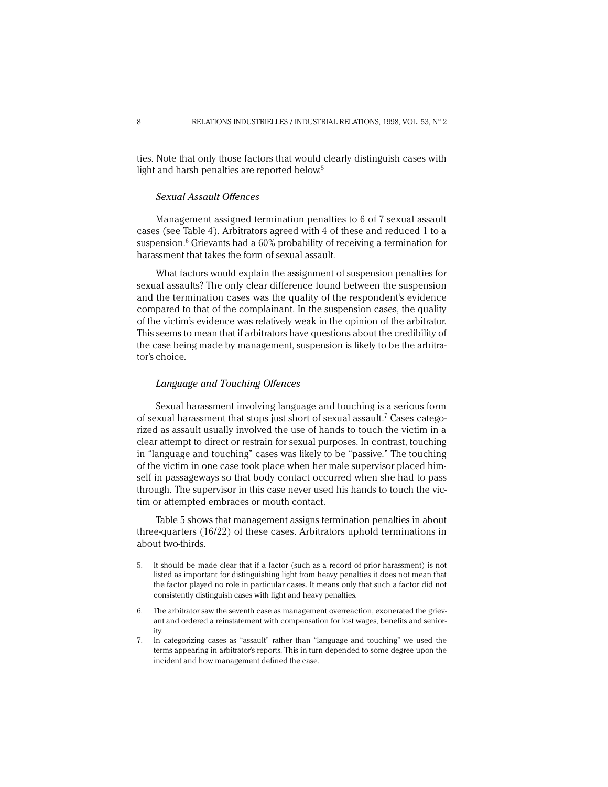ties. Note that only those factors that would clearly distinguish cases with light and harsh penalties are reported below.<sup>5</sup>

## *Sexual Assault Offences*

Management assigned termination penalties to 6 of 7 sexual assault cases (see Table 4). Arbitrators agreed with 4 of these and reduced 1 to a suspension. $^6$  Grievants had a  $60\%$  probability of receiving a termination for harassment that takes the form of sexual assault.

What factors would explain the assignment of suspension penalties for sexual assaults? The only clear difference found between the suspension and the termination cases was the quality of the respondent's evidence compared to that of the complainant. In the suspension cases, the quality of the victim's evidence was relatively weak in the opinion of the arbitrator. This seems to mean that if arbitrators have questions about the credibility of the case being made by management, suspension is likely to be the arbitrator's choice.

### *Language and Touching Offences*

Sexual harassment involving language and touching is a serious form of sexual harassment that stops just short of sexual assault.<sup>7</sup> Cases categorized as assault usually involved the use of hands to touch the victim in a clear attempt to direct or restrain for sexual purposes. In contrast, touching in "language and touching" cases was likely to be "passive." The touching of the victim in one case took place when her male supervisor placed himself in passageways so that body contact occurred when she had to pass through. The supervisor in this case never used his hands to touch the victim or attempted embraces or mouth contact.

Table 5 shows that management assigns termination penalties in about three-quarters (16/22) of these cases. Arbitrators uphold terminations in about two-thirds.

<sup>5.</sup> It should be made clear that if a factor (such as a record of prior harassment) is not listed as important for distinguishing light from heavy penalties it does not mean that the factor played no role in particular cases. It means only that such a factor did not consistently distinguish cases with light and heavy penalties.

<sup>6.</sup> The arbitrator saw the seventh case as management overreaction, exonerated the grievant and ordered a reinstatement with compensation for lost wages, benefits and seniority.

<sup>7.</sup> In categorizing cases as "assault" rather than "language and touching" we used the terms appearing in arbitrator's reports. This in turn depended to some degree upon the incident and how management defined the case.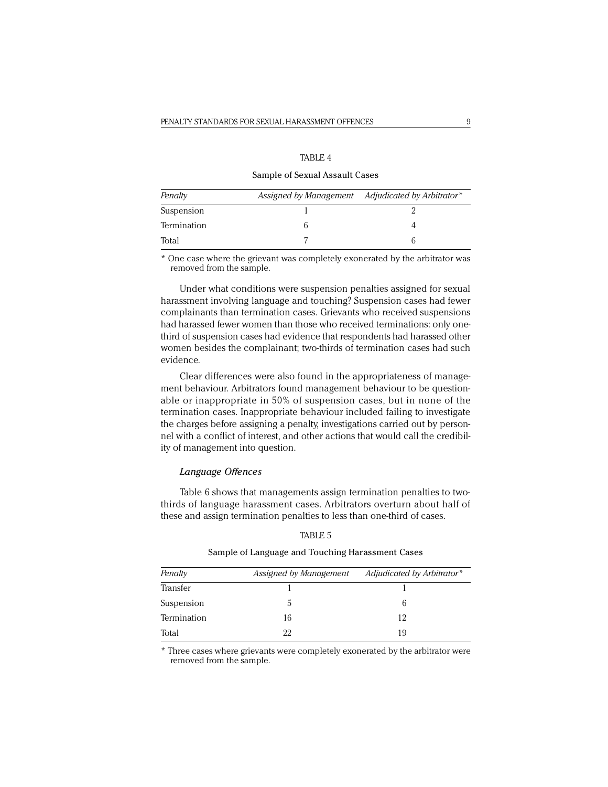# TABLE 4

#### Sample of Sexual Assault Cases

| Penalty     | Assigned by Management Adjudicated by Arbitrator* |
|-------------|---------------------------------------------------|
| Suspension  |                                                   |
| Termination |                                                   |
| Total       |                                                   |

\* One case where the grievant was completely exonerated by the arbitrator was removed from the sample.

Under what conditions were suspension penalties assigned for sexual harassment involving language and touching? Suspension cases had fewer complainants than termination cases. Grievants who received suspensions had harassed fewer women than those who received terminations: only onethird of suspension cases had evidence that respondents had harassed other women besides the complainant; two-thirds of termination cases had such evidence.

Clear differences were also found in the appropriateness of management behaviour. Arbitrators found management behaviour to be questionable or inappropriate in 50% of suspension cases, but in none of the termination cases. Inappropriate behaviour included failing to investigate the charges before assigning a penalty, investigations carried out by personnel with a conflict of interest, and other actions that would call the credibility of management into question.

#### *Language Offences*

Table 6 shows that managements assign termination penalties to twothirds of language harassment cases. Arbitrators overturn about half of these and assign termination penalties to less than one-third of cases.

| ιBΙ |  |
|-----|--|
|     |  |

## Sample of Language and Touching Harassment Cases

| Penalty     | Assigned by Management | Adjudicated by Arbitrator* |
|-------------|------------------------|----------------------------|
| Transfer    |                        |                            |
| Suspension  |                        |                            |
| Termination | 16                     | 12                         |
| Total       | 22                     | 19                         |

\* Three cases where grievants were completely exonerated by the arbitrator were removed from the sample.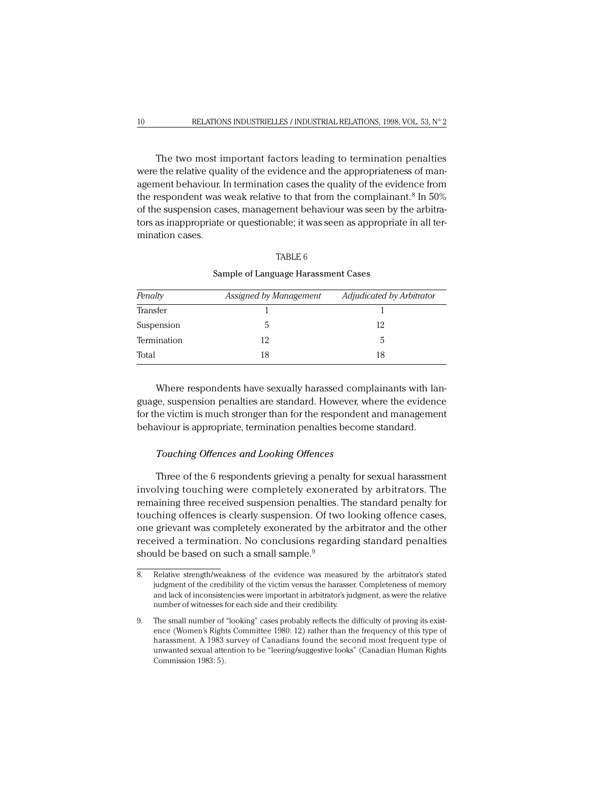The two most important factors leading to termination penalties were the relative quality of the evidence and the appropriateness of management behaviour. In termination cases the quality of the evidence from the respondent was weak relative to that from the complainant.<sup>8</sup> In 50% of the suspension cases, management behaviour was seen by the arbitrators as inappropriate or questionable; it was seen as appropriate in all termination cases.

| ı. |  |
|----|--|
|----|--|

| Penalty     | Assigned by Management | Adjudicated by Arbitrator |
|-------------|------------------------|---------------------------|
| Transfer    |                        |                           |
| Suspension  |                        | 12                        |
| Termination | 12                     | h.                        |
| Total       | 18                     | 18                        |

Sample of Language Harassment Cases

Where respondents have sexually harassed complainants with language, suspension penalties are standard. However, where the evidence for the victim is much stronger than for the respondent and management behaviour is appropriate, termination penalties become standard.

#### *Touching Offences and Looking Offences*

Three of the 6 respondents grieving a penalty for sexual harassment involving touching were completely exonerated by arbitrators. The remaining three received suspension penalties. The standard penalty for touching offences is clearly suspension. Of two looking offence cases, one grievant was completely exonerated by the arbitrator and the other received a termination. No conclusions regarding standard penalties should be based on such a small sample.<sup>9</sup>

<sup>8.</sup> Relative strength/weakness of the evidence was measured by the arbitrator's stated judgment of the credibility of the victim versus the harasser. Completeness of memory and lack of inconsistencies were important in arbitrator's judgment, as were the relative number of witnesses for each side and their credibility.

<sup>9.</sup> The small number of "looking" cases probably reflects the difficulty of proving its existence (Women's Rights Committee 1980: 12) rather than the frequency of this type of harassment. A 1983 survey of Canadians found the second most frequent type of unwanted sexual attention to be "leering/suggestive looks" (Canadian Human Rights Commission 1983: 5).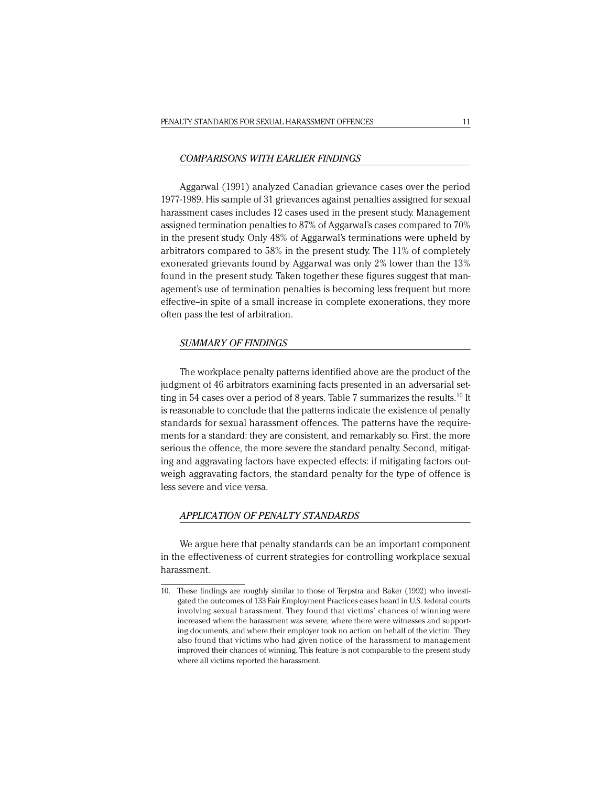#### *COMPARISONS WITH EARLIER FINDINGS*

Aggarwal (1991) analyzed Canadian grievance cases over the period 1977-1989. His sample of 31 grievances against penalties assigned for sexual harassment cases includes 12 cases used in the present study. Management assigned termination penalties to 87% of Aggarwal's cases compared to 70% in the present study. Only 48% of Aggarwal's terminations were upheld by arbitrators compared to 58% in the present study. The 11% of completely exonerated grievants found by Aggarwal was only 2% lower than the 13% found in the present study. Taken together these figures suggest that management's use of termination penalties is becoming less frequent but more effective-in spite of a small increase in complete exonerations, they more often pass the test of arbitration.

#### *SUMMARY OF FINDINGS*

The workplace penalty patterns identified above are the product of the judgment of 46 arbitrators examining facts presented in an adversarial setting in 54 cases over a period of 8 years. Table 7 summarizes the results.<sup>10</sup> It is reasonable to conclude that the patterns indicate the existence of penalty standards for sexual harassment offences. The patterns have the requirements for a standard: they are consistent, and remarkably so. First, the more serious the offence, the more severe the standard penalty. Second, mitigating and aggravating factors have expected effects: if mitigating factors outweigh aggravating factors, the standard penalty for the type of offence is less severe and vice versa.

## *APPLICATION OF PENALTY STANDARDS*

We argue here that penalty standards can be an important component in the effectiveness of current strategies for controlling workplace sexual harassment.

<sup>10.</sup> These findings are roughly similar to those of Terpstra and Baker (1992) who investigated the outcomes of 133 Fair Employment Practices cases heard in U.S. federal courts involving sexual harassment. They found that victims' chances of winning were increased where the harassment was severe, where there were witnesses and supporting documents, and where their employer took no action on behalf of the victim. They also found that victims who had given notice of the harassment to management improved their chances of winning. This feature is not comparable to the present study where all victims reported the harassment.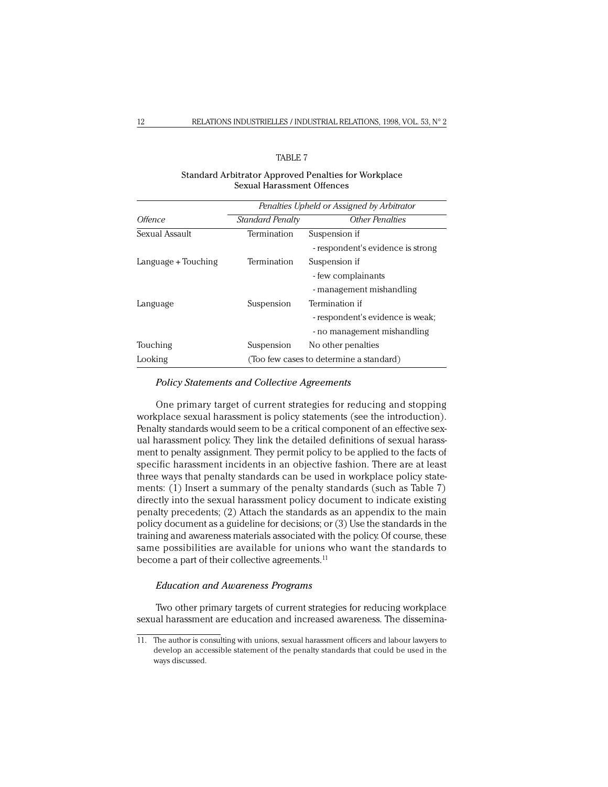# TABLE 7

## Standard Arbitrator Approved Penalties for Workplace Sexual Harassment Offences

|                     | Penalties Upheld or Assigned by Arbitrator |                                   |  |
|---------------------|--------------------------------------------|-----------------------------------|--|
| Offence             | <b>Standard Penalty</b>                    | <b>Other Penalties</b>            |  |
| Sexual Assault      | Termination                                | Suspension if                     |  |
|                     |                                            | - respondent's evidence is strong |  |
| Language + Touching | Termination                                | Suspension if                     |  |
|                     |                                            | - few complainants                |  |
|                     |                                            | - management mishandling          |  |
| Language            | Suspension                                 | Termination if                    |  |
|                     |                                            | - respondent's evidence is weak;  |  |
|                     |                                            | - no management mishandling       |  |
| Touching            | Suspension                                 | No other penalties                |  |
| Looking             | (Too few cases to determine a standard)    |                                   |  |

## *Policy Statements and Collective Agreements*

One primary target of current strategies for reducing and stopping workplace sexual harassment is policy statements (see the introduction). Penalty standards would seem to be a critical component of an effective sexual harassment policy. They link the detailed definitions of sexual harassment to penalty assignment. They permit policy to be applied to the facts of specific harassment incidents in an objective fashion. There are at least three ways that penalty standards can be used in workplace policy statements: (1) Insert a summary of the penalty standards (such as Table 7) directly into the sexual harassment policy document to indicate existing penalty precedents; (2) Attach the standards as an appendix to the main policy document as a guideline for decisions; or (3) Use the standards in the training and awareness materials associated with the policy. Of course, these same possibilities are available for unions who want the standards to become a part of their collective agreements.<sup>11</sup>

## *Education and Awareness Programs*

Two other primary targets of current strategies for reducing workplace sexual harassment are education and increased awareness. The dissemina-

<sup>11.</sup> The author is consulting with unions, sexual harassment officers and labour lawyers to develop an accessible statement of the penalty standards that could be used in the ways discussed.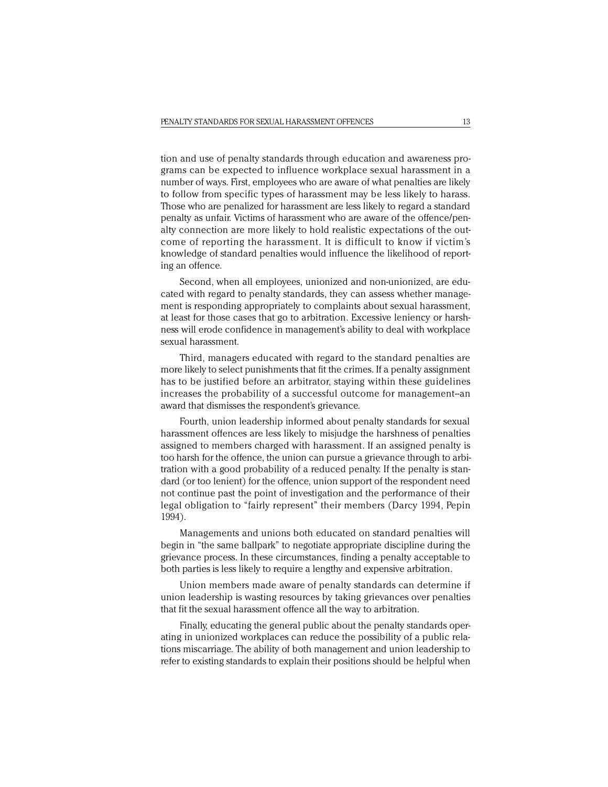tion and use of penalty standards through education and awareness programs can be expected to influence workplace sexual harassment in a number of ways. First, employees who are aware of what penalties are likely to follow from specific types of harassment may be less likely to harass. Those who are penalized for harassment are less likely to regard a standard penalty as unfair. Victims of harassment who are aware of the offence/penalty connection are more likely to hold realistic expectations of the outcome of reporting the harassment. It is difficult to know if victim's knowledge of standard penalties would influence the likelihood of reporting an offence.

Second, when all employees, unionized and non-unionized, are educated with regard to penalty standards, they can assess whether management is responding appropriately to complaints about sexual harassment, at least for those cases that go to arbitration. Excessive leniency or harshness will erode confidence in management's ability to deal with workplace sexual harassment.

Third, managers educated with regard to the standard penalties are more likely to select punishments that fit the crimes. If a penalty assignment has to be justified before an arbitrator, staying within these guidelines increases the probability of a successful outcome for management--an award that dismisses the respondent's grievance.

Fourth, union leadership informed about penalty standards for sexual harassment offences are less likely to misjudge the harshness of penalties assigned to members charged with harassment. If an assigned penalty is too harsh for the offence, the union can pursue a grievance through to arbitration with a good probability of a reduced penalty. If the penalty is standard (or too lenient) for the offence, union support of the respondent need not continue past the point of investigation and the performance of their legal obligation to "fairly represent" their members (Darcy 1994, Pepin 1994).

Managements and unions both educated on standard penalties will begin in "the same ballpark" to negotiate appropriate discipline during the grievance process. In these circumstances, finding a penalty acceptable to both parties is less likely to require a lengthy and expensive arbitration.

Union members made aware of penalty standards can determine if union leadership is wasting resources by taking grievances over penalties that fit the sexual harassment offence all the way to arbitration.

Finally, educating the general public about the penalty standards operating in unionized workplaces can reduce the possibility of a public relations miscarriage. The ability of both management and union leadership to refer to existing standards to explain their positions should be helpful when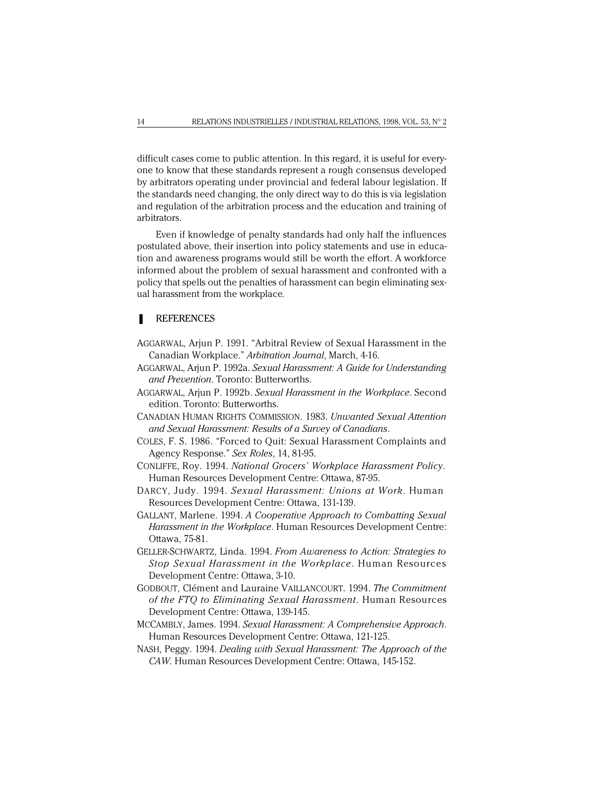difficult cases come to public attention. In this regard, it is useful for everyone to know that these standards represent a rough consensus developed by arbitrators operating under provincial and federal labour legislation. If the standards need changing, the only direct way to do this is via legislation and regulation of the arbitration process and the education and training of arbitrators.

Even if knowledge of penalty standards had only half the influences postulated above, their insertion into policy statements and use in education and awareness programs would still be worth the effort. A workforce informed about the problem of sexual harassment and confronted with a policy that spells out the penalties of harassment can begin eliminating sexual harassment from the workplace.

## ■ REFERENCES

- AGGARWAL, Arjun P. 1991. "Arbitral Review of Sexual Harassment in the Canadian Workplace." *Arbitration Journal*, March, 4-16.
- AGGARWAL, Arjun P. 1992a. *Sexual Harassment: A Guide for Understanding and Prevention*. Toronto: Butterworths.
- AGGARWAL, Arjun P. 1992b. *Sexual Harassment in the Workplace*. Second edition. Toronto: Butterworths.
- CANADIAN HUMAN RIGHTS COMMISSION. 1983. *Unwanted Sexual Attention and Sexual Harassment: Results of a Survey of Canadians*.
- COLES, F. S. 1986. "Forced to Quit: Sexual Harassment Complaints and Agency Response." *Sex Roles*, 14, 81-95.
- CONLIFFE, Roy. 1994. *National Grocers' Workplace Harassment Policy*. Human Resources Development Centre: Ottawa, 87-95.
- DARCY, Judy. 1994. *Sexual Harassment: Unions at Work*. Human Resources Development Centre: Ottawa, 131-139.
- GALLANT, Marlene. 1994. *A Cooperative Approach to Combatting Sexual Harassment in the Workplace*. Human Resources Development Centre: Ottawa, 75-81.
- GELLER-SCHWARTZ, Linda. 1994. *From Awareness to Action: Strategies to Stop Sexual Harassment in the Workplace*. Human Resources Development Centre: Ottawa, 3-10.
- GODBOUT, Clément and Lauraine VAILLANCOURT. 1994. *The Commitment of the FTQ to Eliminating Sexual Harassment*. Human Resources Development Centre: Ottawa, 139-145.
- MCCAMBLY, James. 1994. *Sexual Harassment: A Comprehensive Approach*. Human Resources Development Centre: Ottawa, 121-125.
- NASH, Peggy. 1994. *Dealing with Sexual Harassment: The Approach of the CAW*. Human Resources Development Centre: Ottawa, 145-152.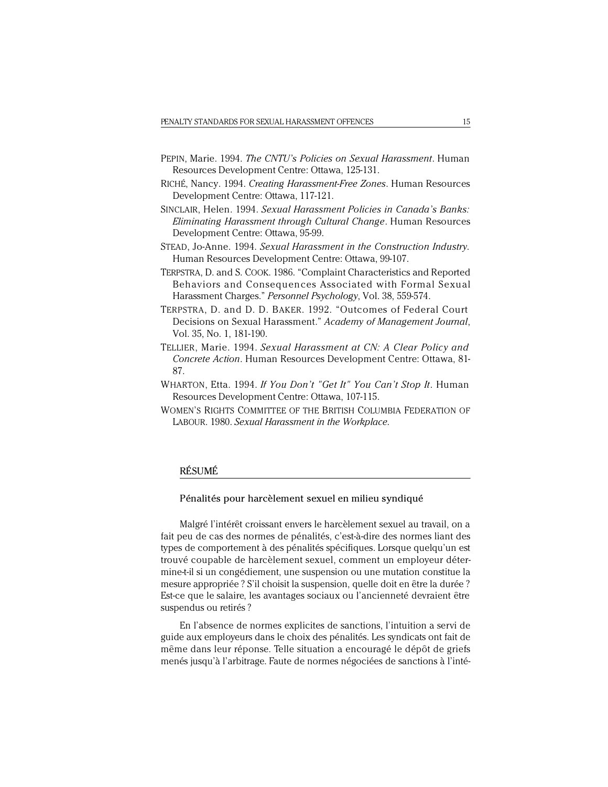- PEPIN, Marie. 1994. *The CNTU's Policies on Sexual Harassment*. Human Resources Development Centre: Ottawa, 125-131.
- RICHÉ, Nancy. 1994. *Creating Harassment-Free Zones*. Human Resources Development Centre: Ottawa, 117-121.
- SINCLAIR, Helen. 1994. *Sexual Harassment Policies in Canada's Banks: Eliminating Harassment through Cultural Change*. Human Resources Development Centre: Ottawa, 95-99.
- STEAD, Jo-Anne. 1994. *Sexual Harassment in the Construction Industry*. Human Resources Development Centre: Ottawa, 99-107.
- TERPSTRA, D. and S. COOK. 1986. "Complaint Characteristics and Reported Behaviors and Consequences Associated with Formal Sexual Harassment Charges." *Personnel Psychology*, Vol. 38, 559-574.
- TERPSTRA, D. and D. D. BAKER. 1992. "Outcomes of Federal Court Decisions on Sexual Harassment." *Academy of Management Journal*, Vol. 35, No. 1, 181-190.
- TELLIER, Marie. 1994. *Sexual Harassment at CN: A Clear Policy and Concrete Action*. Human Resources Development Centre: Ottawa, 81- 87.
- WHARTON, Etta. 1994. *If You Don't "Get It" You Can't Stop It*. Human Resources Development Centre: Ottawa, 107-115.
- WOMEN'S RIGHTS COMMITTEE OF THE BRITISH COLUMBIA FEDERATION OF LABOUR. 1980. *Sexual Harassment in the Workplace*.

# RÉSUMÉ

#### Pénalités pour harcèlement sexuel en milieu syndiqué

Malgré l'intérêt croissant envers le harcèlement sexuel au travail, on a fait peu de cas des normes de pénalités, c'est-à-dire des normes liant des types de comportement à des pénalités spécifiques. Lorsque quelqu'un est trouvé coupable de harcèlement sexuel, comment un employeur détermine-t-il si un congédiement, une suspension ou une mutation constitue la mesure appropriée ? S'il choisit la suspension, quelle doit en être la durée ? Est-ce que le salaire, les avantages sociaux ou l'ancienneté devraient être suspendus ou retirés ?

En l'absence de normes explicites de sanctions, l'intuition a servi de guide aux employeurs dans le choix des pénalités. Les syndicats ont fait de même dans leur réponse. Telle situation a encouragé le dépôt de griefs menés jusqu'à l'arbitrage. Faute de normes négociées de sanctions à l'inté-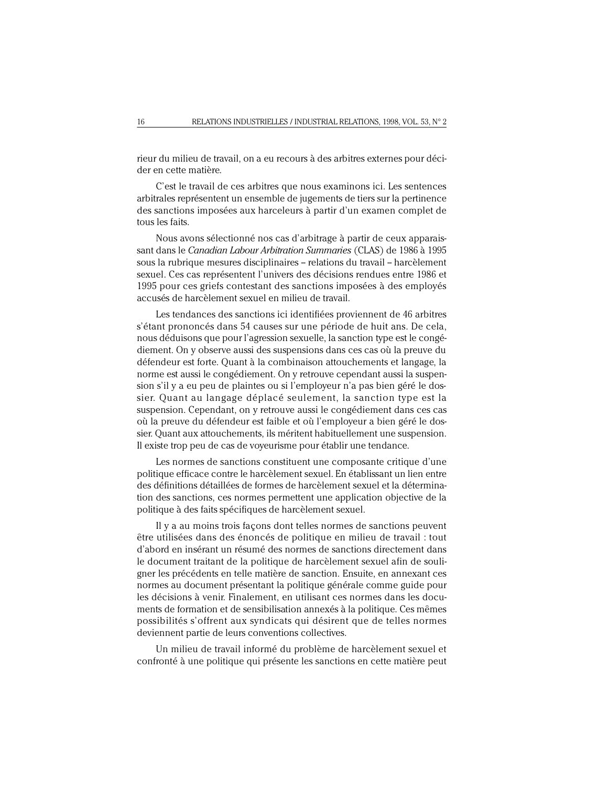rieur du milieu de travail, on a eu recours à des arbitres externes pour décider en cette matière.

C'est le travail de ces arbitres que nous examinons ici. Les sentences arbitrales représentent un ensemble de jugements de tiers sur la pertinence des sanctions imposées aux harceleurs à partir d'un examen complet de tous les faits.

Nous avons sélectionné nos cas d'arbitrage à partir de ceux apparaissant dans le *Canadian Labour Arbitration Summaries* (CLAS) de 1986 à 1995 sous la rubrique mesures disciplinaires -- relations du travail -- harcèlement sexuel. Ces cas représentent l'univers des décisions rendues entre 1986 et 1995 pour ces griefs contestant des sanctions imposées à des employés accusés de harcèlement sexuel en milieu de travail.

Les tendances des sanctions ici identifiées proviennent de 46 arbitres s'étant prononcés dans 54 causes sur une période de huit ans. De cela, nous déduisons que pour l'agression sexuelle, la sanction type est le congédiement. On y observe aussi des suspensions dans ces cas où la preuve du défendeur est forte. Quant à la combinaison attouchements et langage, la norme est aussi le congédiement. On y retrouve cependant aussi la suspension s'il y a eu peu de plaintes ou si l'employeur n'a pas bien géré le dossier. Quant au langage déplacé seulement, la sanction type est la suspension. Cependant, on y retrouve aussi le congédiement dans ces cas où la preuve du défendeur est faible et où l'employeur a bien géré le dossier. Quant aux attouchements, ils méritent habituellement une suspension. Il existe trop peu de cas de voyeurisme pour établir une tendance.

Les normes de sanctions constituent une composante critique d'une politique efficace contre le harcèlement sexuel. En établissant un lien entre des définitions détaillées de formes de harcèlement sexuel et la détermination des sanctions, ces normes permettent une application objective de la politique à des faits spécifiques de harcèlement sexuel.

Il y a au moins trois façons dont telles normes de sanctions peuvent être utilisées dans des énoncés de politique en milieu de travail : tout d'abord en insérant un résumé des normes de sanctions directement dans le document traitant de la politique de harcèlement sexuel afin de souligner les précédents en telle matière de sanction. Ensuite, en annexant ces normes au document présentant la politique générale comme guide pour les décisions à venir. Finalement, en utilisant ces normes dans les documents de formation et de sensibilisation annexés à la politique. Ces mêmes possibilités s'offrent aux syndicats qui désirent que de telles normes deviennent partie de leurs conventions collectives.

Un milieu de travail informé du problème de harcèlement sexuel et confronté à une politique qui présente les sanctions en cette matière peut